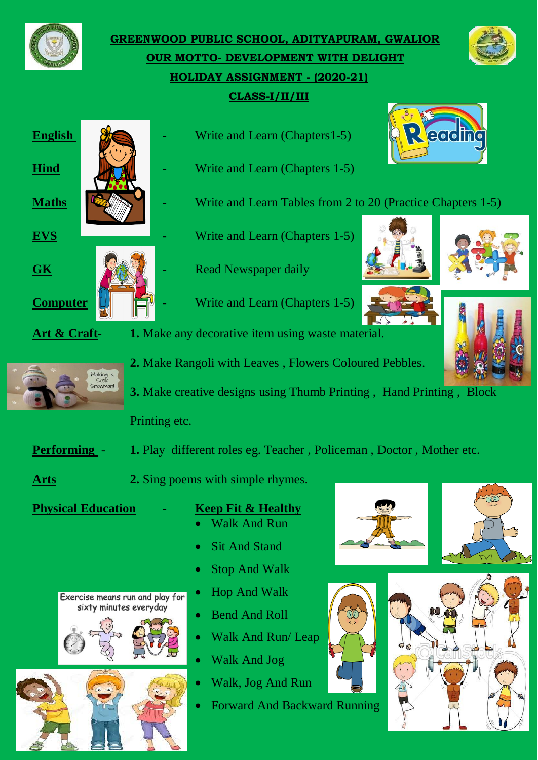

**GREENWOOD PUBLIC SCHOOL, ADITYAPURAM, GWALIOR OUR MOTTO- DEVELOPMENT WITH DELIGHT HOLIDAY ASSIGNMENT - (2020-21) CLASS-I/II/III**



- **English 8. Write and Learn (Chapters 1-5)**
- **Hind Chapters** 1-5)
- **Maths EXAMPLE 1.1.** Write and Learn Tables from 2 to 20 (Practice Chapters 1-5)
- **EVS -** Write and Learn (Chapters 1-5)
- **GK Example 12 Read Newspaper daily**
- **Computer 4 -** Write and Learn (Chapters 1-5)





each



- **Art & Craft- 1.** Make any decorative item using waste material.
	- **2.** Make Rangoli with Leaves , Flowers Coloured Pebbles.
	- **3.** Make creative designs using Thumb Printing , Hand Printing , Block

Printing etc.

- **Performing 1.** Play different roles eg. Teacher, Policeman, Doctor, Mother etc.
- **Arts 2.** Sing poems with simple rhymes.

## **Physical Education** - **Keep Fit & Healthy**

- Walk And Run
- Sit And Stand
- Stop And Walk
- Hop And Walk
- Bend And Roll
- Walk And Run/ Leap
- Walk And Jog
- Walk, Jog And Run
- Forward And Backward Running